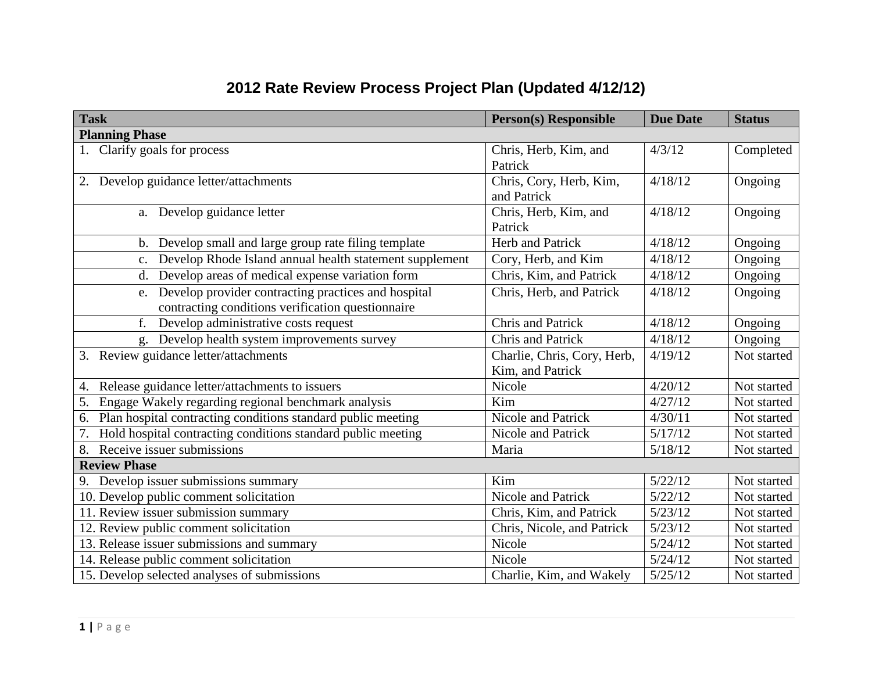## **2012 Rate Review Process Project Plan (Updated 4/12/12)**

| <b>Task</b>                                                                                                    | <b>Person(s) Responsible</b>                    | <b>Due Date</b> | <b>Status</b> |
|----------------------------------------------------------------------------------------------------------------|-------------------------------------------------|-----------------|---------------|
| <b>Planning Phase</b>                                                                                          |                                                 |                 |               |
| 1. Clarify goals for process                                                                                   | Chris, Herb, Kim, and<br>Patrick                | 4/3/12          | Completed     |
| 2. Develop guidance letter/attachments                                                                         | Chris, Cory, Herb, Kim,<br>and Patrick          | 4/18/12         | Ongoing       |
| a. Develop guidance letter                                                                                     | Chris, Herb, Kim, and<br>Patrick                | 4/18/12         | Ongoing       |
| b. Develop small and large group rate filing template                                                          | <b>Herb and Patrick</b>                         | 4/18/12         | Ongoing       |
| c. Develop Rhode Island annual health statement supplement                                                     | Cory, Herb, and Kim                             | 4/18/12         | Ongoing       |
| d. Develop areas of medical expense variation form                                                             | Chris, Kim, and Patrick                         | 4/18/12         | Ongoing       |
| Develop provider contracting practices and hospital<br>e.<br>contracting conditions verification questionnaire | Chris, Herb, and Patrick                        | 4/18/12         | Ongoing       |
| f.<br>Develop administrative costs request                                                                     | <b>Chris and Patrick</b>                        | 4/18/12         | Ongoing       |
| Develop health system improvements survey<br>g.                                                                | Chris and Patrick                               | 4/18/12         | Ongoing       |
| 3. Review guidance letter/attachments                                                                          | Charlie, Chris, Cory, Herb,<br>Kim, and Patrick | 4/19/12         | Not started   |
| Release guidance letter/attachments to issuers<br>4.                                                           | Nicole                                          | 4/20/12         | Not started   |
| Engage Wakely regarding regional benchmark analysis<br>5.                                                      | Kim                                             | 4/27/12         | Not started   |
| Plan hospital contracting conditions standard public meeting<br>6.                                             | Nicole and Patrick                              | 4/30/11         | Not started   |
| Hold hospital contracting conditions standard public meeting<br>7.                                             | Nicole and Patrick                              | 5/17/12         | Not started   |
| 8.<br>Receive issuer submissions                                                                               | Maria                                           | 5/18/12         | Not started   |
| <b>Review Phase</b>                                                                                            |                                                 |                 |               |
| Develop issuer submissions summary<br>9.                                                                       | Kim                                             | 5/22/12         | Not started   |
| 10. Develop public comment solicitation                                                                        | <b>Nicole and Patrick</b>                       | 5/22/12         | Not started   |
| 11. Review issuer submission summary                                                                           | Chris, Kim, and Patrick                         | 5/23/12         | Not started   |
| 12. Review public comment solicitation                                                                         | Chris, Nicole, and Patrick                      | 5/23/12         | Not started   |
| 13. Release issuer submissions and summary                                                                     | Nicole                                          | 5/24/12         | Not started   |
| 14. Release public comment solicitation                                                                        | Nicole                                          | 5/24/12         | Not started   |
| 15. Develop selected analyses of submissions                                                                   | Charlie, Kim, and Wakely                        | 5/25/12         | Not started   |